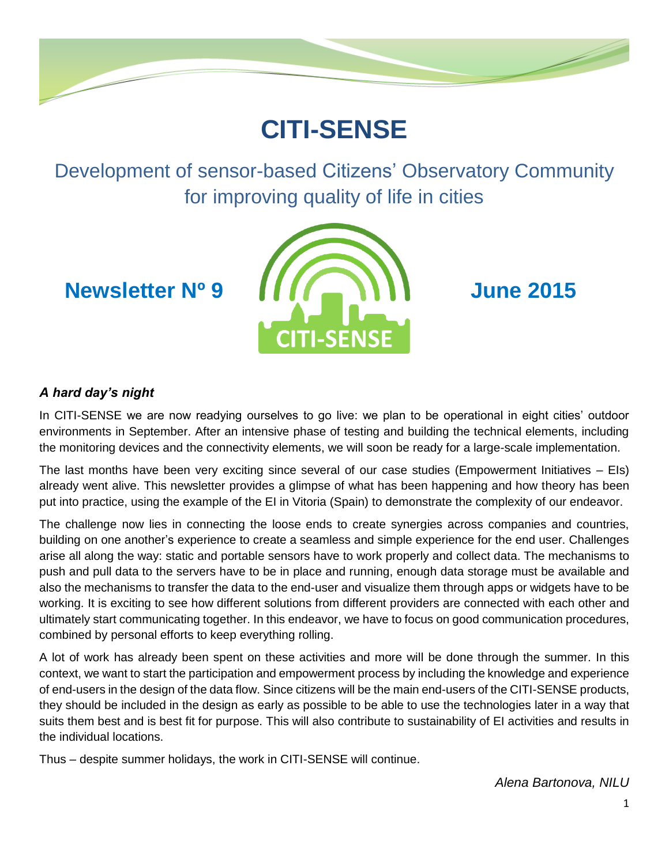

# **CITI-SENSE**

Development of sensor-based Citizens' Observatory Community for improving quality of life in cities



## *A hard day's night*

In CITI-SENSE we are now readying ourselves to go live: we plan to be operational in eight cities' outdoor environments in September. After an intensive phase of testing and building the technical elements, including the monitoring devices and the connectivity elements, we will soon be ready for a large-scale implementation.

The last months have been very exciting since several of our case studies (Empowerment Initiatives – EIs) already went alive. This newsletter provides a glimpse of what has been happening and how theory has been put into practice, using the example of the EI in Vitoria (Spain) to demonstrate the complexity of our endeavor.

The challenge now lies in connecting the loose ends to create synergies across companies and countries, building on one another's experience to create a seamless and simple experience for the end user. Challenges arise all along the way: static and portable sensors have to work properly and collect data. The mechanisms to push and pull data to the servers have to be in place and running, enough data storage must be available and also the mechanisms to transfer the data to the end-user and visualize them through apps or widgets have to be working. It is exciting to see how different solutions from different providers are connected with each other and ultimately start communicating together. In this endeavor, we have to focus on good communication procedures, combined by personal efforts to keep everything rolling.

A lot of work has already been spent on these activities and more will be done through the summer. In this context, we want to start the participation and empowerment process by including the knowledge and experience of end-users in the design of the data flow. Since citizens will be the main end-users of the CITI-SENSE products, they should be included in the design as early as possible to be able to use the technologies later in a way that suits them best and is best fit for purpose. This will also contribute to sustainability of EI activities and results in the individual locations.

Thus – despite summer holidays, the work in CITI-SENSE will continue.

*Alena Bartonova, NILU*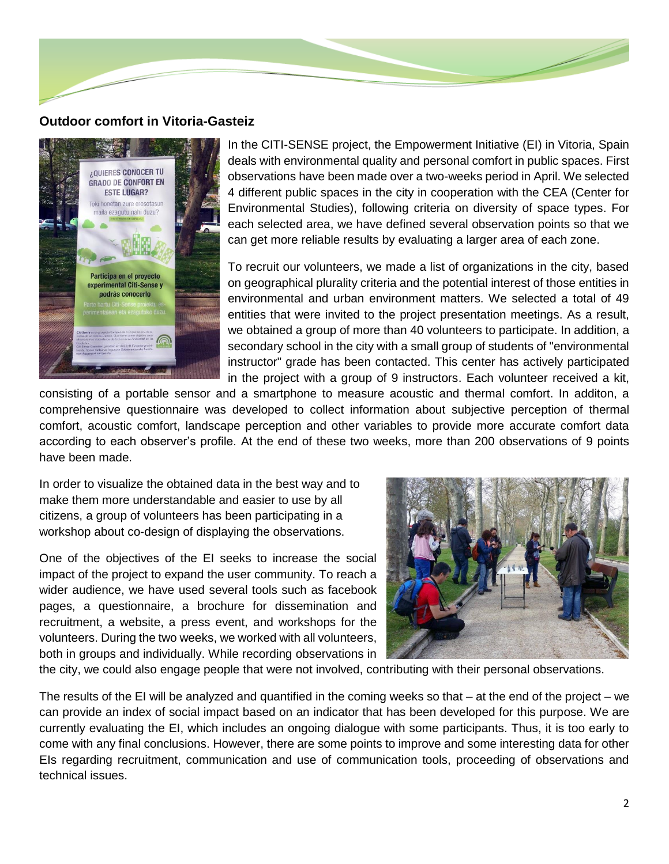

#### **Outdoor comfort in Vitoria-Gasteiz**



In the CITI-SENSE project, the Empowerment Initiative (EI) in Vitoria, Spain deals with environmental quality and personal comfort in public spaces. First observations have been made over a two-weeks period in April. We selected 4 different public spaces in the city in cooperation with the CEA (Center for Environmental Studies), following criteria on diversity of space types. For each selected area, we have defined several observation points so that we can get more reliable results by evaluating a larger area of each zone.

To recruit our volunteers, we made a list of organizations in the city, based on geographical plurality criteria and the potential interest of those entities in environmental and urban environment matters. We selected a total of 49 entities that were invited to the project presentation meetings. As a result, we obtained a group of more than 40 volunteers to participate. In addition, a secondary school in the city with a small group of students of "environmental instructor" grade has been contacted. This center has actively participated in the project with a group of 9 instructors. Each volunteer received a kit,

consisting of a portable sensor and a smartphone to measure acoustic and thermal comfort. In additon, a comprehensive questionnaire was developed to collect information about subjective perception of thermal comfort, acoustic comfort, landscape perception and other variables to provide more accurate comfort data according to each observer's profile. At the end of these two weeks, more than 200 observations of 9 points have been made.

In order to visualize the obtained data in the best way and to make them more understandable and easier to use by all citizens, a group of volunteers has been participating in a workshop about co-design of displaying the observations.

One of the objectives of the EI seeks to increase the social impact of the project to expand the user community. To reach a wider audience, we have used several tools such as facebook pages, a questionnaire, a brochure for dissemination and recruitment, a website, a press event, and workshops for the volunteers. During the two weeks, we worked with all volunteers, both in groups and individually. While recording observations in



the city, we could also engage people that were not involved, contributing with their personal observations.

The results of the EI will be analyzed and quantified in the coming weeks so that – at the end of the project – we can provide an index of social impact based on an indicator that has been developed for this purpose. We are currently evaluating the EI, which includes an ongoing dialogue with some participants. Thus, it is too early to come with any final conclusions. However, there are some points to improve and some interesting data for other EIs regarding recruitment, communication and use of communication tools, proceeding of observations and technical issues.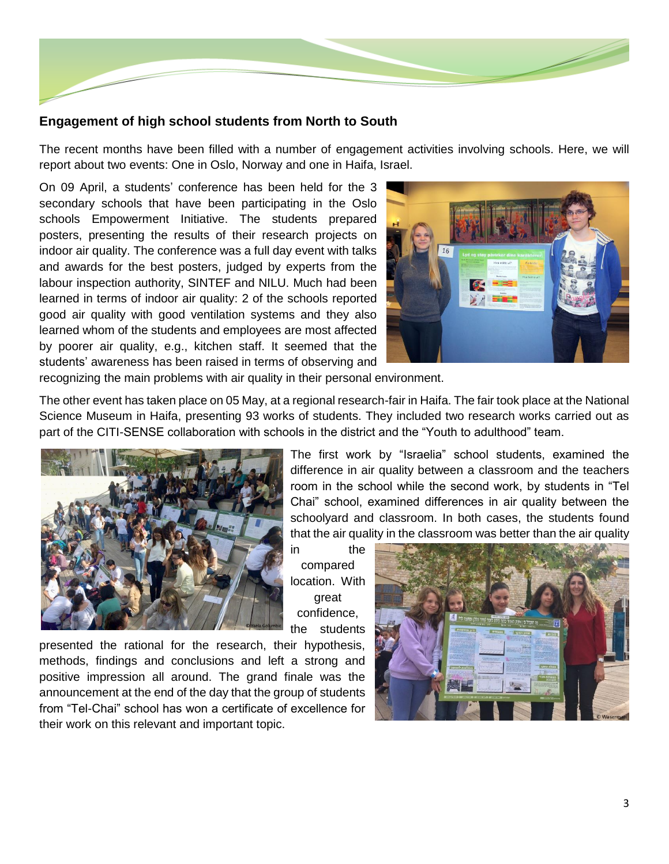

### **Engagement of high school students from North to South**

The recent months have been filled with a number of engagement activities involving schools. Here, we will report about two events: One in Oslo, Norway and one in Haifa, Israel.

On 09 April, a students' conference has been held for the 3 secondary schools that have been participating in the Oslo schools Empowerment Initiative. The students prepared posters, presenting the results of their research projects on indoor air quality. The conference was a full day event with talks and awards for the best posters, judged by experts from the labour inspection authority, SINTEF and NILU. Much had been learned in terms of indoor air quality: 2 of the schools reported good air quality with good ventilation systems and they also learned whom of the students and employees are most affected by poorer air quality, e.g., kitchen staff. It seemed that the students' awareness has been raised in terms of observing and



recognizing the main problems with air quality in their personal environment.

The other event has taken place on 05 May, at a regional research-fair in Haifa. The fair took place at the National Science Museum in Haifa, presenting 93 works of students. They included two research works carried out as part of the CITI-SENSE collaboration with schools in the district and the "Youth to adulthood" team.



The first work by "Israelia" school students, examined the difference in air quality between a classroom and the teachers room in the school while the second work, by students in "Tel Chai" school, examined differences in air quality between the schoolyard and classroom. In both cases, the students found that the air quality in the classroom was better than the air quality

in the compared location. With great confidence, the students

presented the rational for the research, their hypothesis, methods, findings and conclusions and left a strong and positive impression all around. The grand finale was the announcement at the end of the day that the group of students from "Tel-Chai" school has won a certificate of excellence for their work on this relevant and important topic.